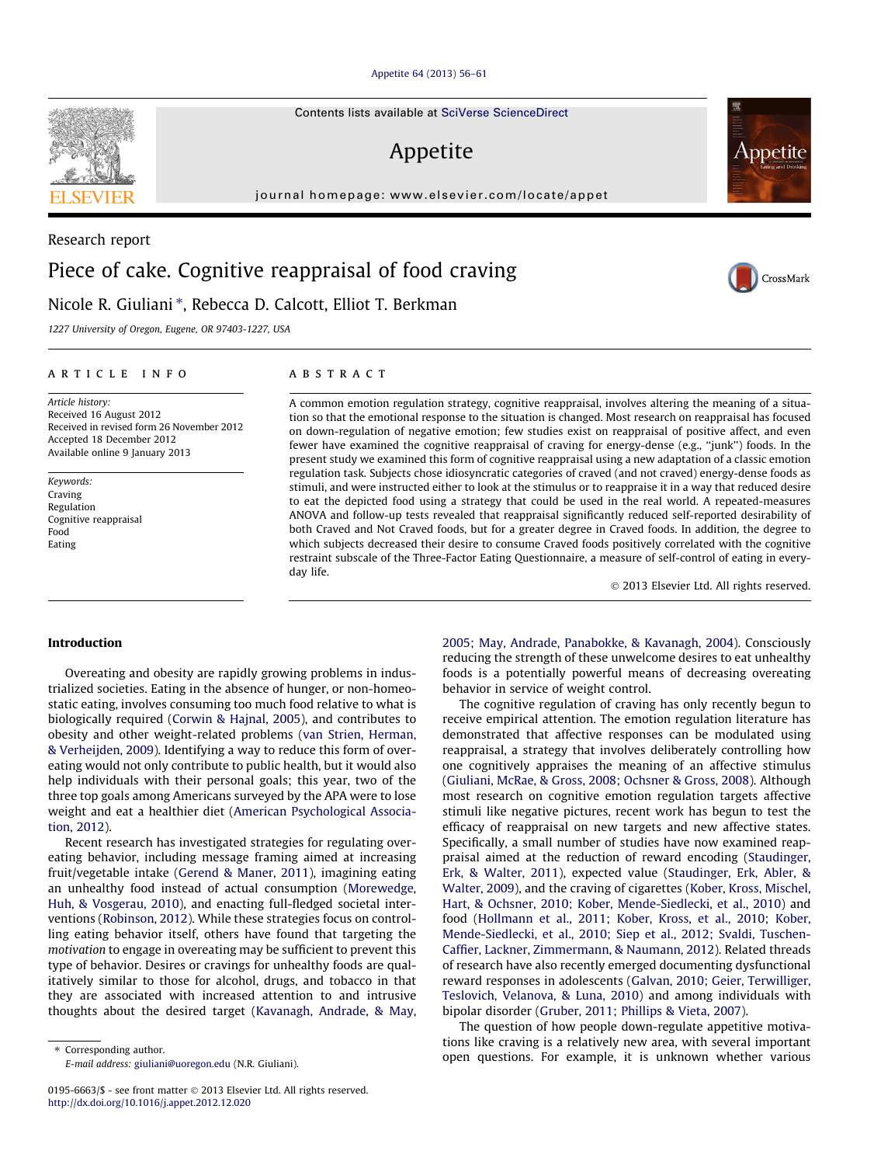#### [Appetite 64 \(2013\) 56–61](http://dx.doi.org/10.1016/j.appet.2012.12.020)

Contents lists available at [SciVerse ScienceDirect](http://www.sciencedirect.com/science/journal/01956663)

### Appetite

journal homepage: [www.elsevier.com/locate/appet](http://www.elsevier.com/locate/appet)

# Research report Piece of cake. Cognitive reappraisal of food craving

Nicole R. Giuliani \*, Rebecca D. Calcott, Elliot T. Berkman

1227 University of Oregon, Eugene, OR 97403-1227, USA

#### article info

Article history: Received 16 August 2012 Received in revised form 26 November 2012 Accepted 18 December 2012 Available online 9 January 2013

Keywords: Craving Regulation Cognitive reappraisal Food Eating

#### **ABSTRACT**

A common emotion regulation strategy, cognitive reappraisal, involves altering the meaning of a situation so that the emotional response to the situation is changed. Most research on reappraisal has focused on down-regulation of negative emotion; few studies exist on reappraisal of positive affect, and even fewer have examined the cognitive reappraisal of craving for energy-dense (e.g., ''junk'') foods. In the present study we examined this form of cognitive reappraisal using a new adaptation of a classic emotion regulation task. Subjects chose idiosyncratic categories of craved (and not craved) energy-dense foods as stimuli, and were instructed either to look at the stimulus or to reappraise it in a way that reduced desire to eat the depicted food using a strategy that could be used in the real world. A repeated-measures ANOVA and follow-up tests revealed that reappraisal significantly reduced self-reported desirability of both Craved and Not Craved foods, but for a greater degree in Craved foods. In addition, the degree to which subjects decreased their desire to consume Craved foods positively correlated with the cognitive restraint subscale of the Three-Factor Eating Questionnaire, a measure of self-control of eating in everyday life.

- 2013 Elsevier Ltd. All rights reserved.

#### Introduction

Overeating and obesity are rapidly growing problems in industrialized societies. Eating in the absence of hunger, or non-homeostatic eating, involves consuming too much food relative to what is biologically required ([Corwin & Hajnal, 2005\)](#page--1-0), and contributes to obesity and other weight-related problems ([van Strien, Herman,](#page--1-0) [& Verheijden, 2009\)](#page--1-0). Identifying a way to reduce this form of overeating would not only contribute to public health, but it would also help individuals with their personal goals; this year, two of the three top goals among Americans surveyed by the APA were to lose weight and eat a healthier diet [\(American Psychological Associa](#page--1-0)[tion, 2012](#page--1-0)).

Recent research has investigated strategies for regulating overeating behavior, including message framing aimed at increasing fruit/vegetable intake ([Gerend & Maner, 2011\)](#page--1-0), imagining eating an unhealthy food instead of actual consumption [\(Morewedge,](#page--1-0) [Huh, & Vosgerau, 2010](#page--1-0)), and enacting full-fledged societal interventions [\(Robinson, 2012\)](#page--1-0). While these strategies focus on controlling eating behavior itself, others have found that targeting the motivation to engage in overeating may be sufficient to prevent this type of behavior. Desires or cravings for unhealthy foods are qualitatively similar to those for alcohol, drugs, and tobacco in that they are associated with increased attention to and intrusive thoughts about the desired target ([Kavanagh, Andrade, & May,](#page--1-0)

⇑ Corresponding author. E-mail address: [giuliani@uoregon.edu](mailto:giuliani@uoregon.edu) (N.R. Giuliani). [2005; May, Andrade, Panabokke, & Kavanagh, 2004](#page--1-0)). Consciously reducing the strength of these unwelcome desires to eat unhealthy foods is a potentially powerful means of decreasing overeating behavior in service of weight control.

The cognitive regulation of craving has only recently begun to receive empirical attention. The emotion regulation literature has demonstrated that affective responses can be modulated using reappraisal, a strategy that involves deliberately controlling how one cognitively appraises the meaning of an affective stimulus ([Giuliani, McRae, & Gross, 2008; Ochsner & Gross, 2008\)](#page--1-0). Although most research on cognitive emotion regulation targets affective stimuli like negative pictures, recent work has begun to test the efficacy of reappraisal on new targets and new affective states. Specifically, a small number of studies have now examined reappraisal aimed at the reduction of reward encoding [\(Staudinger,](#page--1-0) [Erk, & Walter, 2011\)](#page--1-0), expected value ([Staudinger, Erk, Abler, &](#page--1-0) [Walter, 2009\)](#page--1-0), and the craving of cigarettes [\(Kober, Kross, Mischel,](#page--1-0) [Hart, & Ochsner, 2010; Kober, Mende-Siedlecki, et al., 2010](#page--1-0)) and food ([Hollmann et al., 2011; Kober, Kross, et al., 2010; Kober,](#page--1-0) [Mende-Siedlecki, et al., 2010; Siep et al., 2012; Svaldi, Tuschen-](#page--1-0)[Caffier, Lackner, Zimmermann, & Naumann, 2012\)](#page--1-0). Related threads of research have also recently emerged documenting dysfunctional reward responses in adolescents [\(Galvan, 2010; Geier, Terwilliger,](#page--1-0) [Teslovich, Velanova, & Luna, 2010](#page--1-0)) and among individuals with bipolar disorder [\(Gruber, 2011; Phillips & Vieta, 2007](#page--1-0)).

The question of how people down-regulate appetitive motivations like craving is a relatively new area, with several important open questions. For example, it is unknown whether various







<sup>0195-6663/\$ -</sup> see front matter © 2013 Elsevier Ltd. All rights reserved. <http://dx.doi.org/10.1016/j.appet.2012.12.020>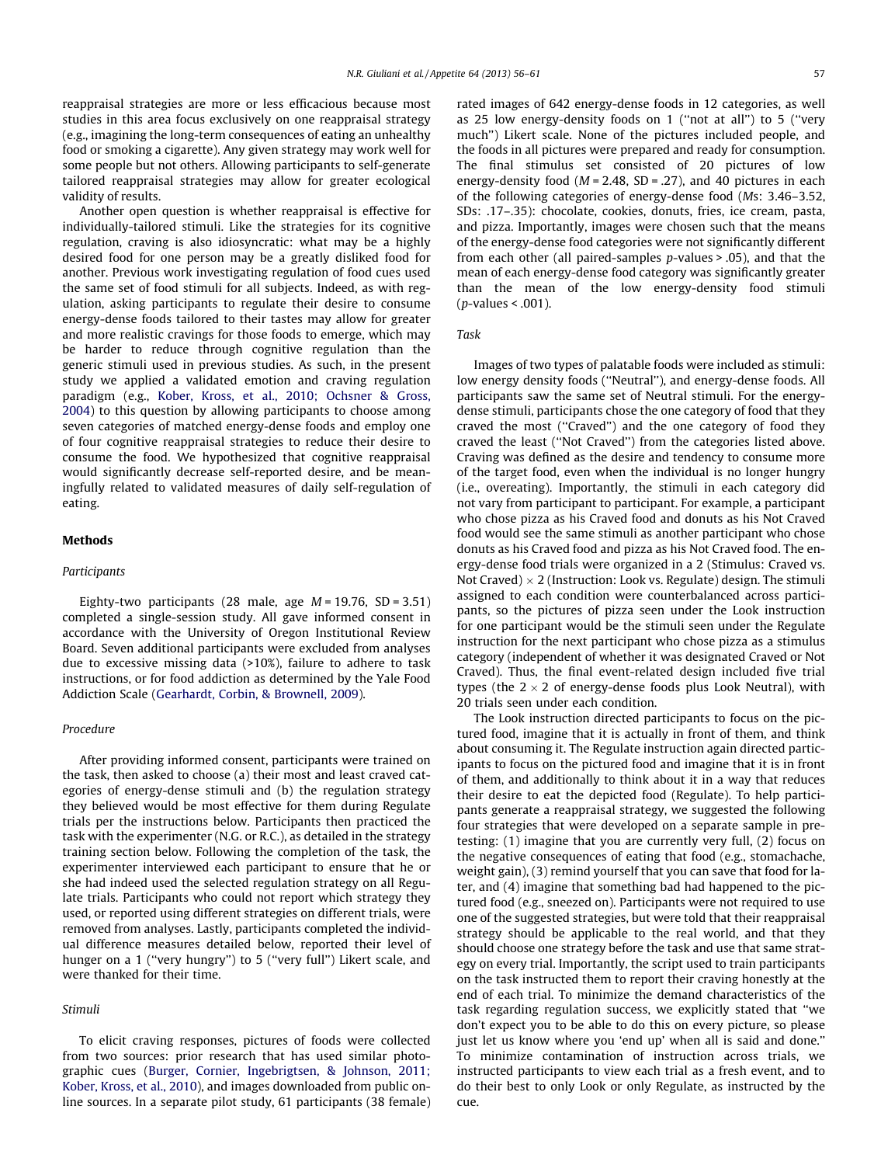reappraisal strategies are more or less efficacious because most studies in this area focus exclusively on one reappraisal strategy (e.g., imagining the long-term consequences of eating an unhealthy food or smoking a cigarette). Any given strategy may work well for some people but not others. Allowing participants to self-generate tailored reappraisal strategies may allow for greater ecological validity of results.

Another open question is whether reappraisal is effective for individually-tailored stimuli. Like the strategies for its cognitive regulation, craving is also idiosyncratic: what may be a highly desired food for one person may be a greatly disliked food for another. Previous work investigating regulation of food cues used the same set of food stimuli for all subjects. Indeed, as with regulation, asking participants to regulate their desire to consume energy-dense foods tailored to their tastes may allow for greater and more realistic cravings for those foods to emerge, which may be harder to reduce through cognitive regulation than the generic stimuli used in previous studies. As such, in the present study we applied a validated emotion and craving regulation paradigm (e.g., [Kober, Kross, et al., 2010; Ochsner & Gross,](#page--1-0) [2004](#page--1-0)) to this question by allowing participants to choose among seven categories of matched energy-dense foods and employ one of four cognitive reappraisal strategies to reduce their desire to consume the food. We hypothesized that cognitive reappraisal would significantly decrease self-reported desire, and be meaningfully related to validated measures of daily self-regulation of eating.

#### Methods

#### Participants

Eighty-two participants (28 male, age  $M = 19.76$ , SD = 3.51) completed a single-session study. All gave informed consent in accordance with the University of Oregon Institutional Review Board. Seven additional participants were excluded from analyses due to excessive missing data (>10%), failure to adhere to task instructions, or for food addiction as determined by the Yale Food Addiction Scale ([Gearhardt, Corbin, & Brownell, 2009](#page--1-0)).

#### Procedure

After providing informed consent, participants were trained on the task, then asked to choose (a) their most and least craved categories of energy-dense stimuli and (b) the regulation strategy they believed would be most effective for them during Regulate trials per the instructions below. Participants then practiced the task with the experimenter (N.G. or R.C.), as detailed in the strategy training section below. Following the completion of the task, the experimenter interviewed each participant to ensure that he or she had indeed used the selected regulation strategy on all Regulate trials. Participants who could not report which strategy they used, or reported using different strategies on different trials, were removed from analyses. Lastly, participants completed the individual difference measures detailed below, reported their level of hunger on a 1 ("very hungry") to 5 ("very full") Likert scale, and were thanked for their time.

#### Stimuli

To elicit craving responses, pictures of foods were collected from two sources: prior research that has used similar photographic cues [\(Burger, Cornier, Ingebrigtsen, & Johnson, 2011;](#page--1-0) [Kober, Kross, et al., 2010](#page--1-0)), and images downloaded from public online sources. In a separate pilot study, 61 participants (38 female) rated images of 642 energy-dense foods in 12 categories, as well as 25 low energy-density foods on 1 (''not at all'') to 5 (''very much'') Likert scale. None of the pictures included people, and the foods in all pictures were prepared and ready for consumption. The final stimulus set consisted of 20 pictures of low energy-density food ( $M = 2.48$ , SD = .27), and 40 pictures in each of the following categories of energy-dense food (Ms: 3.46–3.52, SDs: .17–.35): chocolate, cookies, donuts, fries, ice cream, pasta, and pizza. Importantly, images were chosen such that the means of the energy-dense food categories were not significantly different from each other (all paired-samples p-values > .05), and that the mean of each energy-dense food category was significantly greater than the mean of the low energy-density food stimuli  $(p$ -values < .001).

#### Task

Images of two types of palatable foods were included as stimuli: low energy density foods (''Neutral''), and energy-dense foods. All participants saw the same set of Neutral stimuli. For the energydense stimuli, participants chose the one category of food that they craved the most (''Craved'') and the one category of food they craved the least (''Not Craved'') from the categories listed above. Craving was defined as the desire and tendency to consume more of the target food, even when the individual is no longer hungry (i.e., overeating). Importantly, the stimuli in each category did not vary from participant to participant. For example, a participant who chose pizza as his Craved food and donuts as his Not Craved food would see the same stimuli as another participant who chose donuts as his Craved food and pizza as his Not Craved food. The energy-dense food trials were organized in a 2 (Stimulus: Craved vs. Not Craved)  $\times$  2 (Instruction: Look vs. Regulate) design. The stimuli assigned to each condition were counterbalanced across participants, so the pictures of pizza seen under the Look instruction for one participant would be the stimuli seen under the Regulate instruction for the next participant who chose pizza as a stimulus category (independent of whether it was designated Craved or Not Craved). Thus, the final event-related design included five trial types (the 2  $\times$  2 of energy-dense foods plus Look Neutral), with 20 trials seen under each condition.

The Look instruction directed participants to focus on the pictured food, imagine that it is actually in front of them, and think about consuming it. The Regulate instruction again directed participants to focus on the pictured food and imagine that it is in front of them, and additionally to think about it in a way that reduces their desire to eat the depicted food (Regulate). To help participants generate a reappraisal strategy, we suggested the following four strategies that were developed on a separate sample in pretesting: (1) imagine that you are currently very full, (2) focus on the negative consequences of eating that food (e.g., stomachache, weight gain), (3) remind yourself that you can save that food for later, and (4) imagine that something bad had happened to the pictured food (e.g., sneezed on). Participants were not required to use one of the suggested strategies, but were told that their reappraisal strategy should be applicable to the real world, and that they should choose one strategy before the task and use that same strategy on every trial. Importantly, the script used to train participants on the task instructed them to report their craving honestly at the end of each trial. To minimize the demand characteristics of the task regarding regulation success, we explicitly stated that ''we don't expect you to be able to do this on every picture, so please just let us know where you 'end up' when all is said and done.'' To minimize contamination of instruction across trials, we instructed participants to view each trial as a fresh event, and to do their best to only Look or only Regulate, as instructed by the cue.